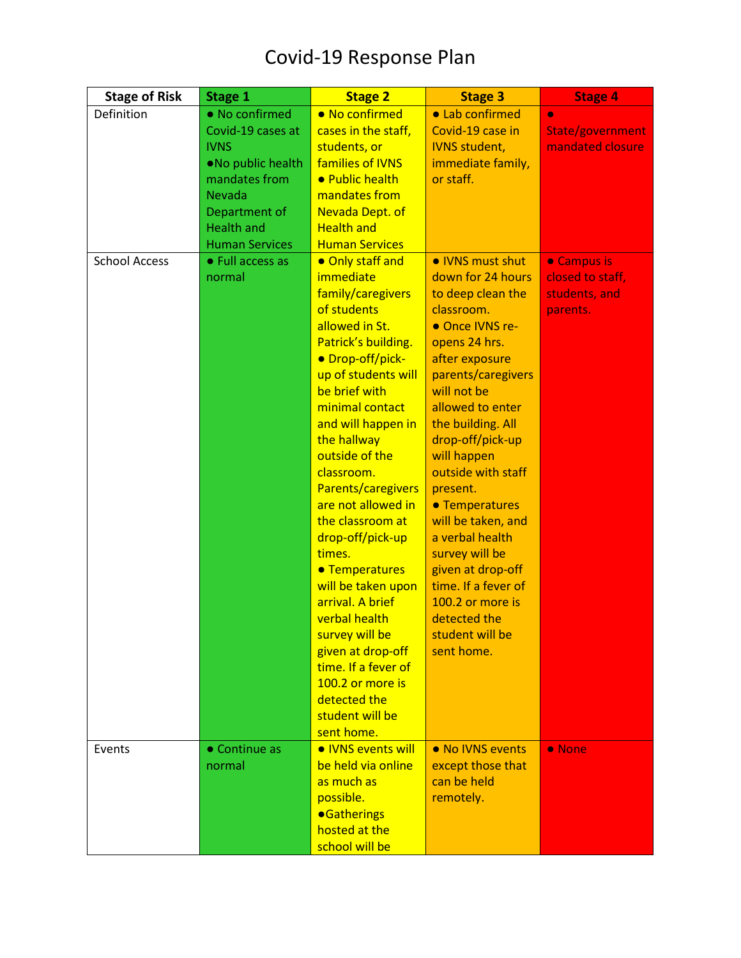| <b>Stage of Risk</b> | Stage 1               | <b>Stage 2</b>                         | <b>Stage 3</b>                           | <b>Stage 4</b>   |
|----------------------|-----------------------|----------------------------------------|------------------------------------------|------------------|
| Definition           | • No confirmed        | • No confirmed                         | • Lab confirmed                          | $\bullet$        |
|                      | Covid-19 cases at     | cases in the staff,                    | Covid-19 case in                         | State/government |
|                      | <b>IVNS</b>           | students, or                           | <b>IVNS</b> student,                     | mandated closure |
|                      | .No public health     | <b>families of IVNS</b>                | immediate family,                        |                  |
|                      | mandates from         | • Public health                        | or staff.                                |                  |
|                      | Nevada                | mandates from                          |                                          |                  |
|                      | Department of         | Nevada Dept. of                        |                                          |                  |
|                      | <b>Health and</b>     | <b>Health and</b>                      |                                          |                  |
|                      | <b>Human Services</b> | <b>Human Services</b>                  |                                          |                  |
| <b>School Access</b> | • Full access as      | • Only staff and                       | • IVNS must shut                         | • Campus is      |
|                      | normal                | immediate                              | down for 24 hours                        | closed to staff, |
|                      |                       | family/caregivers                      | to deep clean the                        | students, and    |
|                      |                       | of students                            | classroom.                               | parents.         |
|                      |                       | allowed in St.                         | • Once IVNS re-                          |                  |
|                      |                       | Patrick's building.                    | opens 24 hrs.                            |                  |
|                      |                       | • Drop-off/pick-                       | after exposure                           |                  |
|                      |                       | up of students will                    | parents/caregivers                       |                  |
|                      |                       | be brief with                          | will not be                              |                  |
|                      |                       | minimal contact                        | allowed to enter                         |                  |
|                      |                       | and will happen in                     | the building. All                        |                  |
|                      |                       | the hallway                            | drop-off/pick-up                         |                  |
|                      |                       | outside of the                         | will happen                              |                  |
|                      |                       | classroom.                             | outside with staff                       |                  |
|                      |                       | Parents/caregivers                     | present.                                 |                  |
|                      |                       | are not allowed in                     | • Temperatures                           |                  |
|                      |                       | the classroom at                       | will be taken, and<br>a verbal health    |                  |
|                      |                       | drop-off/pick-up<br>times.             |                                          |                  |
|                      |                       |                                        | survey will be                           |                  |
|                      |                       | <b>• Temperatures</b>                  | given at drop-off<br>time. If a fever of |                  |
|                      |                       | will be taken upon<br>arrival. A brief | 100.2 or more is                         |                  |
|                      |                       | verbal health                          | detected the                             |                  |
|                      |                       | survey will be                         | student will be                          |                  |
|                      |                       | given at drop-off                      | sent home.                               |                  |
|                      |                       | time. If a fever of                    |                                          |                  |
|                      |                       | 100.2 or more is                       |                                          |                  |
|                      |                       | detected the                           |                                          |                  |
|                      |                       | student will be                        |                                          |                  |
|                      |                       | sent home.                             |                                          |                  |
| Events               | • Continue as         | • IVNS events will                     | • No IVNS events                         | • None           |
|                      | normal                | be held via online                     | except those that                        |                  |
|                      |                       | as much as                             | can be held                              |                  |
|                      |                       | possible.                              | remotely.                                |                  |
|                      |                       | <b>•Gatherings</b>                     |                                          |                  |
|                      |                       | hosted at the                          |                                          |                  |
|                      |                       | school will be                         |                                          |                  |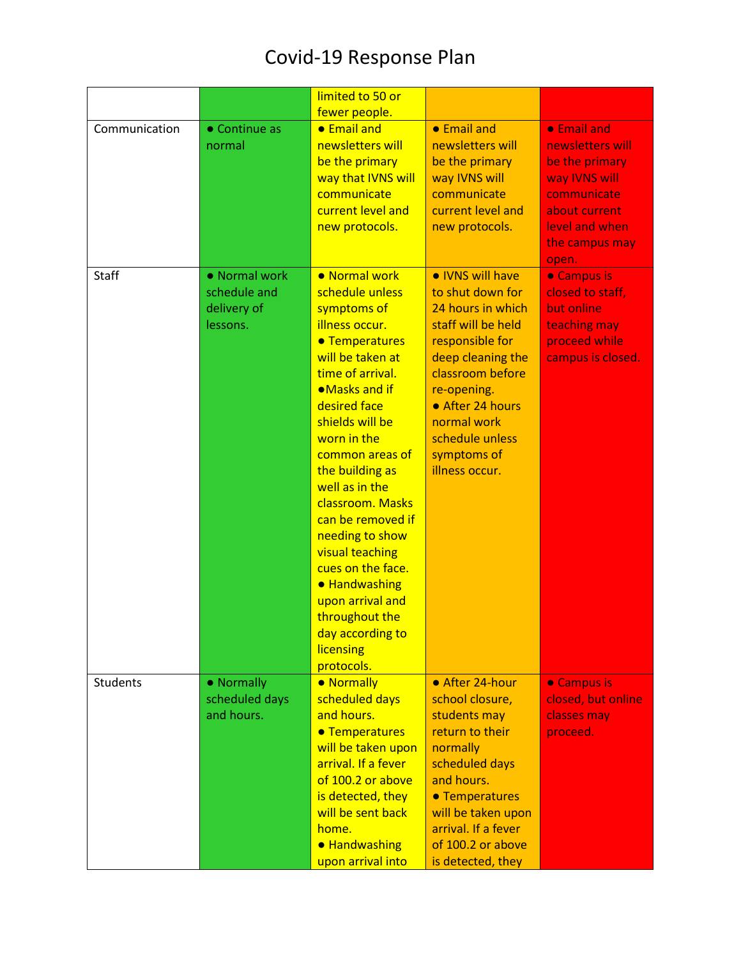|                 |                                                          | limited to 50 or<br>fewer people.                                                                                                                                                                                                                                                                                                                                                                                                                                              |                                                                                                                                                                                                                                                   |                                                                                                                                                 |
|-----------------|----------------------------------------------------------|--------------------------------------------------------------------------------------------------------------------------------------------------------------------------------------------------------------------------------------------------------------------------------------------------------------------------------------------------------------------------------------------------------------------------------------------------------------------------------|---------------------------------------------------------------------------------------------------------------------------------------------------------------------------------------------------------------------------------------------------|-------------------------------------------------------------------------------------------------------------------------------------------------|
| Communication   | • Continue as<br>normal                                  | • Email and<br>newsletters will<br>be the primary<br>way that IVNS will<br>communicate<br>current level and<br>new protocols.                                                                                                                                                                                                                                                                                                                                                  | • Email and<br>newsletters will<br>be the primary<br>way IVNS will<br>communicate<br>current level and<br>new protocols.                                                                                                                          | • Email and<br>newsletters will<br>be the primary<br>way IVNS will<br>communicate<br>about current<br>level and when<br>the campus may<br>open. |
| <b>Staff</b>    | • Normal work<br>schedule and<br>delivery of<br>lessons. | • Normal work<br>schedule unless<br>symptoms of<br>illness occur.<br><b>• Temperatures</b><br>will be taken at<br>time of arrival.<br>•Masks and if<br>desired face<br>shields will be<br>worn in the<br>common areas of<br>the building as<br>well as in the<br>classroom. Masks<br>can be removed if<br>needing to show<br><b>visual teaching</b><br>cues on the face.<br>• Handwashing<br>upon arrival and<br>throughout the<br>day according to<br>licensing<br>protocols. | • IVNS will have<br>to shut down for<br>24 hours in which<br>staff will be held<br>responsible for<br>deep cleaning the<br>classroom before<br>re-opening.<br>• After 24 hours<br>normal work<br>schedule unless<br>symptoms of<br>illness occur. | • Campus is<br>closed to staff,<br>but online<br>teaching may<br>proceed while<br>campus is closed.                                             |
| <b>Students</b> | • Normally<br>scheduled days<br>and hours.               | • Normally<br>scheduled days<br>and hours.<br><b>• Temperatures</b><br>will be taken upon<br>arrival. If a fever<br>of 100.2 or above<br>is detected, they<br>will be sent back<br>home.<br>• Handwashing<br>upon arrival into                                                                                                                                                                                                                                                 | • After 24-hour<br>school closure,<br>students may<br>return to their<br>normally<br>scheduled days<br>and hours.<br>• Temperatures<br>will be taken upon<br>arrival. If a fever<br>of 100.2 or above<br>is detected, they                        | <b>• Campus is</b><br>closed, but online<br>classes may<br>proceed.                                                                             |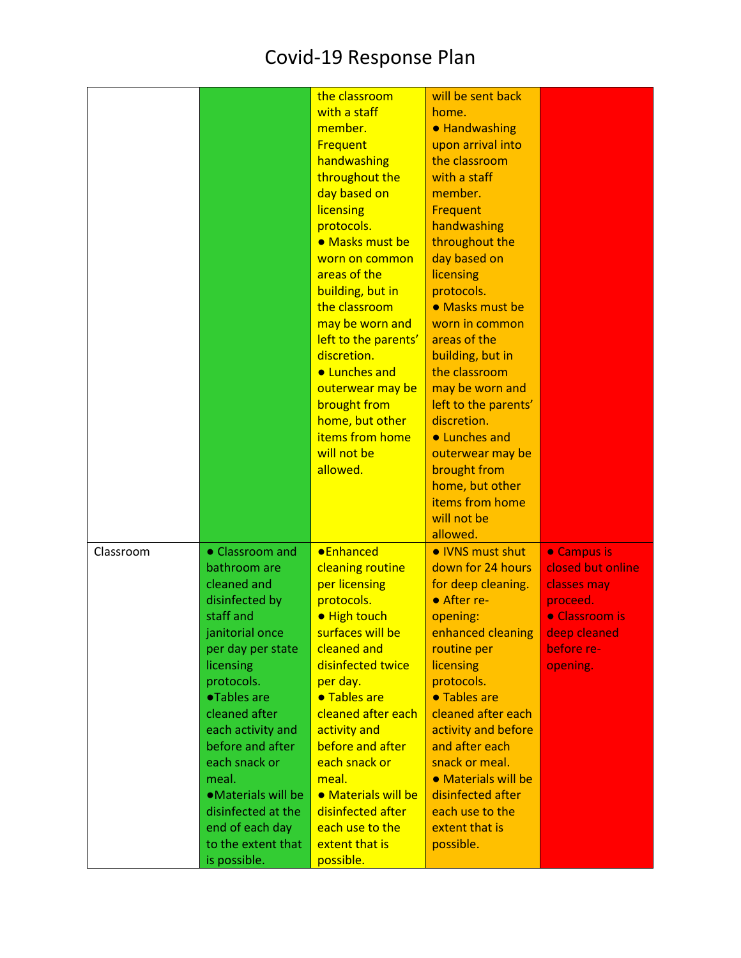|           |                             | the classroom                      | will be sent back    |                                  |
|-----------|-----------------------------|------------------------------------|----------------------|----------------------------------|
|           |                             | with a staff                       | home.                |                                  |
|           |                             | member.                            | • Handwashing        |                                  |
|           |                             | <b>Frequent</b>                    | upon arrival into    |                                  |
|           |                             | handwashing                        | the classroom        |                                  |
|           |                             | throughout the                     | with a staff         |                                  |
|           |                             | day based on                       | member.              |                                  |
|           |                             | licensing                          | Frequent             |                                  |
|           |                             | protocols.                         | handwashing          |                                  |
|           |                             | · Masks must be                    | throughout the       |                                  |
|           |                             | worn on common                     | day based on         |                                  |
|           |                             | areas of the                       | licensing            |                                  |
|           |                             | building, but in                   | protocols.           |                                  |
|           |                             | the classroom                      | • Masks must be      |                                  |
|           |                             | may be worn and                    | worn in common       |                                  |
|           |                             | left to the parents'               | areas of the         |                                  |
|           |                             | discretion.                        | building, but in     |                                  |
|           |                             | • Lunches and                      | the classroom        |                                  |
|           |                             | outerwear may be                   | may be worn and      |                                  |
|           |                             | brought from                       | left to the parents' |                                  |
|           |                             | home, but other                    | discretion.          |                                  |
|           |                             | items from home                    | • Lunches and        |                                  |
|           |                             | will not be                        | outerwear may be     |                                  |
|           |                             | allowed.                           | brought from         |                                  |
|           |                             |                                    | home, but other      |                                  |
|           |                             |                                    | items from home      |                                  |
|           |                             |                                    | will not be          |                                  |
|           |                             |                                    | allowed.             |                                  |
| Classroom | • Classroom and             | <b>•Enhanced</b>                   | • IVNS must shut     |                                  |
|           |                             |                                    | down for 24 hours    | • Campus is<br>closed but online |
|           | bathroom are<br>cleaned and | cleaning routine                   |                      |                                  |
|           |                             | per licensing                      | for deep cleaning.   | classes may                      |
|           | disinfected by              | protocols.                         | • After re-          | proceed.                         |
|           | staff and                   | · High touch                       | opening:             | • Classroom is                   |
|           | janitorial once             | surfaces will be                   | enhanced cleaning    | deep cleaned                     |
|           | per day per state           | cleaned and                        | routine per          | before re-                       |
|           | licensing                   | disinfected twice                  | licensing            | opening.                         |
|           | protocols.                  | per day.                           | protocols.           |                                  |
|           | •Tables are                 | • Tables are<br>cleaned after each | • Tables are         |                                  |
|           | cleaned after               |                                    | cleaned after each   |                                  |
|           | each activity and           | activity and                       | activity and before  |                                  |
|           | before and after            | before and after                   | and after each       |                                  |
|           | each snack or               | each snack or                      | snack or meal.       |                                  |
|           | meal.                       | meal.                              | • Materials will be  |                                  |
|           | • Materials will be         | • Materials will be                | disinfected after    |                                  |
|           | disinfected at the          | disinfected after                  | each use to the      |                                  |
|           | end of each day             | each use to the                    | extent that is       |                                  |
|           | to the extent that          | extent that is                     | possible.            |                                  |
|           | is possible.                | possible.                          |                      |                                  |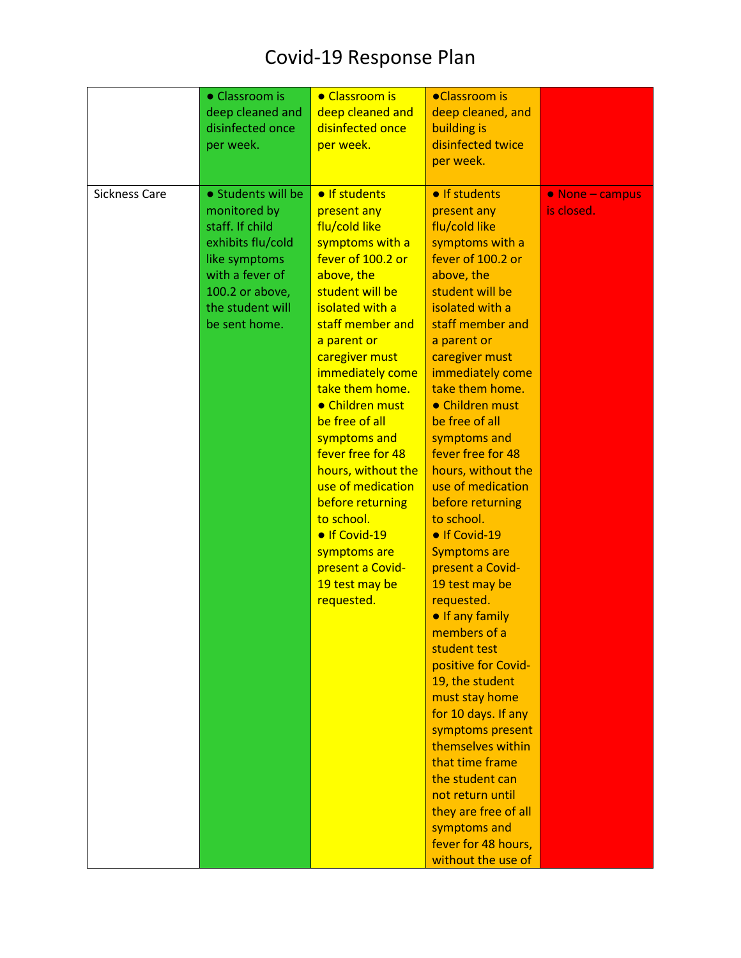|                      | • Classroom is<br>deep cleaned and<br>disinfected once<br>per week.                                                                                                    | • Classroom is<br>deep cleaned and<br>disinfected once<br>per week.                                                                                                                                                                                                                                                                                                                                                                                                               | •Classroom is<br>deep cleaned, and<br>building is<br>disinfected twice<br>per week.                                                                                                                                                                                                                                                                                                                                                                                                                                                                                                                                                                                                                                                                                                                                    |                               |
|----------------------|------------------------------------------------------------------------------------------------------------------------------------------------------------------------|-----------------------------------------------------------------------------------------------------------------------------------------------------------------------------------------------------------------------------------------------------------------------------------------------------------------------------------------------------------------------------------------------------------------------------------------------------------------------------------|------------------------------------------------------------------------------------------------------------------------------------------------------------------------------------------------------------------------------------------------------------------------------------------------------------------------------------------------------------------------------------------------------------------------------------------------------------------------------------------------------------------------------------------------------------------------------------------------------------------------------------------------------------------------------------------------------------------------------------------------------------------------------------------------------------------------|-------------------------------|
| <b>Sickness Care</b> | • Students will be<br>monitored by<br>staff. If child<br>exhibits flu/cold<br>like symptoms<br>with a fever of<br>100.2 or above,<br>the student will<br>be sent home. | • If students<br>present any<br>flu/cold like<br>symptoms with a<br>fever of 100.2 or<br>above, the<br>student will be<br>isolated with a<br>staff member and<br>a parent or<br>caregiver must<br>immediately come<br>take them home.<br>• Children must<br>be free of all<br>symptoms and<br>fever free for 48<br>hours, without the<br>use of medication<br>before returning<br>to school.<br>● If Covid-19<br>symptoms are<br>present a Covid-<br>19 test may be<br>requested. | • If students<br>present any<br>flu/cold like<br>symptoms with a<br>fever of 100.2 or<br>above, the<br>student will be<br>isolated with a<br>staff member and<br>a parent or<br>caregiver must<br>immediately come<br>take them home.<br>• Children must<br>be free of all<br>symptoms and<br>fever free for 48<br>hours, without the<br>use of medication<br>before returning<br>to school.<br>• If Covid-19<br><b>Symptoms are</b><br>present a Covid-<br>19 test may be<br>requested.<br>• If any family<br>members of a<br>student test<br>positive for Covid-<br>19, the student<br>must stay home<br>for 10 days. If any<br>symptoms present<br>themselves within<br>that time frame<br>the student can<br>not return until<br>they are free of all<br>symptoms and<br>fever for 48 hours,<br>without the use of | • None - campus<br>is closed. |